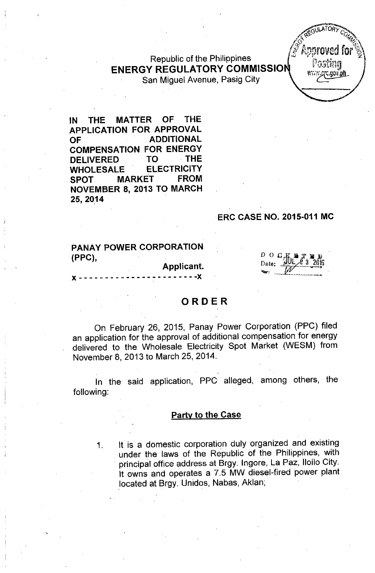Republic of the Philippines ENERGY REGULATORY COMMISSIO San Miguel Avenue, Pasig City



IN THE MATTER OF THE APPLICATION FOR APPROVAL OF ADDITIONAL COMPENSATION FOR ENERGY DELIVERED TO THE WHOLESALE ELECTRICITY SPOT MARKET FROM NOVEMBER 8, 2013 TO MARCH 25,2014

#### ERC CASE NO. 2015-011 MC

## PANAY POWER CORPORATION (PPC),

Applicant.  $- - - - - -$ 

 $\begin{array}{ccc} D & O & G & \text{if} \\ \text{Date:} & \text{if} \end{array}$ Date:  $\frac{1}{\sqrt{2}}$  $\frac{1007232016}{100}$ 

# ORDER

On February 26, 2015, Panay Power Corporation (PPC) filed an application for the approval of additional compensation for energy delivered to the Wholesale Electricity Spot Market (WESM) from November 8, 2013 to March 25, 2014.

In the said application, PPC alleged, among others, the following:

#### Party to the Case

1. It is a domestic corporation duly organized and existing under the laws of the Republic of the Philippines, with . principal office address at Brgy. Ingore, La Paz, Iloilo City. It owns and operates a 7.5 MW diesel-fired power plant .located at Brgy. Unidos, Nabas, Aklan;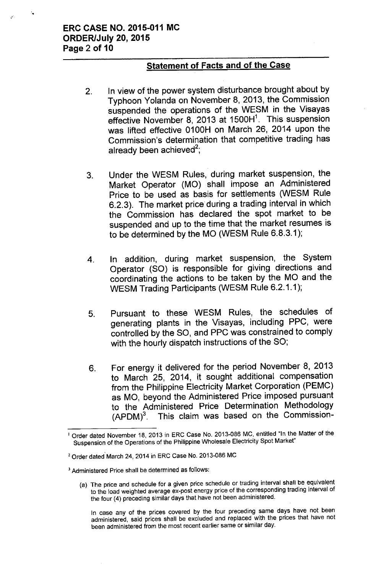'.

## Statement of Facts and of the Case

- 2. In view of the power system disturbance brought about by Typhoon Yolanda on November 8,2013, the Commission suspended the operations of the WESM in the Visayas effective November 8, 2013 at 1500H<sup>1</sup>. This suspensior was lifted effective 0100H on March 26, 2014 upon the Commission's determination that competitive trading has already been achieved<sup>2</sup>
- 3. Under the WESM Rules, during market suspension, the Market Operator (MO) shall impose an Administered Price to be used as basis for settlements (WESM Rule 6.2.3). The market price during a trading interval in which the Commission has declared the spot market to be suspended and up to the time that the market resumes is to be determined by the MO (WESM Rule 6.8.3.1);
- 4. In addition, during market suspension, the System Operator (SO) is responsible for giving directions and coordinating the actions to be taken by the MO and the WESM Trading Participants (WESM Rule 6.2.1.1);
- 5. Pursuant to these WESM Rules, the schedules of generating plants in the Visayas, including PPC, were controlled by the SO, and PPC was constrained to comply with the hourly dispatch instructions of the SO;
- 6. For energy it delivered for the period November 8, 2013 to March 25, 2014, it sought additional compensation from the Philippine Electricity Market Corporation (PEMC) as MO, beyond the Administered Price imposed pursuant to the Administered Price Determination Methodology  $(APDM)<sup>3</sup>$ . This claim was based on the Commission-

(a) The price and schedule for a given price schedule or trading interval shall be equivalent to the load weighted average ex-post energy price of the corresponding trading interval of the four (4) preceding similar days that have not been administered,

In case any of the prices covered by the four preceding same days have not been administered, said prices shall be exciuded and replaced with the prices that have not been administered from the most recent earlier same or similar day,

Order dated November 18, 2013 in ERC Case No. 2013-086 MC, entitled "In the Matter of the Suspension of the Operations of the Philippine Wholesale Electricity Spot Market"

<sup>&</sup>lt;sup>2</sup> Order dated March 24, 2014 in ERC Case No. 2013-086 MC

<sup>3</sup> Administered Price shall be determined as follows: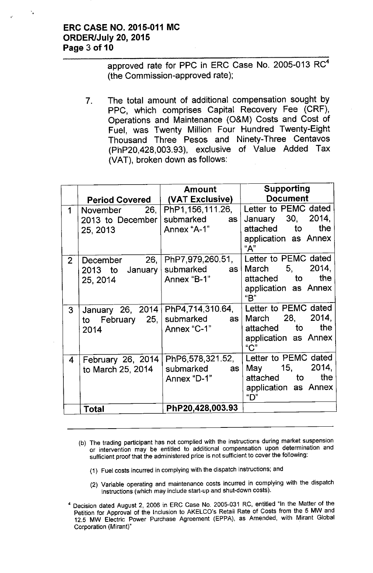### **ERC CASE NO. 2015-011 MC ORDER/July 20,2015 Page 3 of 10**

'.

approved rate for PPC in ERC Case No. 2005-013 RC<sup>4</sup> (the Commission-approved rate);

7. The total amount of additional compensation sought by PPC, which comprises Capital Recovery Fee (CRF), Operations and Maintenance (O&M) Costs and Cost of Fuel, was Twenty Million Four Hundred Twenty-Eight Thousand Three Pesos and Ninety-Three Centavos (PhP20,428,003.93), exclusive of Value Added Tax (VAT), broken down as follows:

|                |                                                  | <b>Amount</b>                                                           | <b>Supporting</b>                                                                                                 |  |
|----------------|--------------------------------------------------|-------------------------------------------------------------------------|-------------------------------------------------------------------------------------------------------------------|--|
|                |                                                  | Period Covered   (VAT Exclusive)                                        | <b>Document</b>                                                                                                   |  |
| 1              | 26.1<br>November<br>2013 to December             | submarked<br>as l                                                       | PhP1,156,111.26, Letter to PEMC dated<br>January 30, 2014,                                                        |  |
|                | 25, 2013                                         | Annex "A-1"                                                             | attached to<br>the<br>application as Annex<br>"А"                                                                 |  |
| 2 <sup>1</sup> | 26,  <br>December<br>2013 to January<br>25, 2014 | submarked<br>as <sub>1</sub><br>Annex "B-1"                             | PhP7,979,260.51,   Letter to PEMC dated<br>2014,<br>March 5,<br>attached to<br>the<br>application as Annex<br>"B" |  |
| 3              | to February 25,<br>2014                          | January 26, 2014   PhP4,714,310.64,<br>submarked<br>as  <br>Annex "C-1" | Letter to PEMC dated<br>2014,<br>March 28,<br>attached to<br>the<br>application as Annex<br>"C"                   |  |
| $\overline{4}$ | February 26, 2014<br>to March 25, 2014           | PhP6,578,321.52,<br>submarked<br>as<br>Annex "D-1"                      | Letter to PEMC dated<br>2014,<br>May 15,<br>the<br>attached to<br>application as Annex<br>"D"                     |  |
|                | <b>Total</b>                                     | PhP20,428,003.93                                                        |                                                                                                                   |  |

- (b) The trading participant has not complied with the instructions during market suspension or intervention may be entitled to additional compensation upon determination and sufficient proof that the administered price is not sufficient to cover the following:
	- (1) Fuel costs incurred in complying with the dispatch instructions; and
	- (2) Variable operating and maintenance costs incurred in complying with the dispatch instructions (which may include start-up and shut-down costs).
- <sup>4</sup> Decision dated August 2, 2006 in ERC Case No. 2005-031 RC, entitled "In the Maller of the Petition for Approval of the Inclusion to AKELCO's Retail Rate of Costs from the 5 MW and 12.5 MW Electric Power Purchase Agreement (EPPA), as Amended, with Mirant Global Corporation (Mirant)" .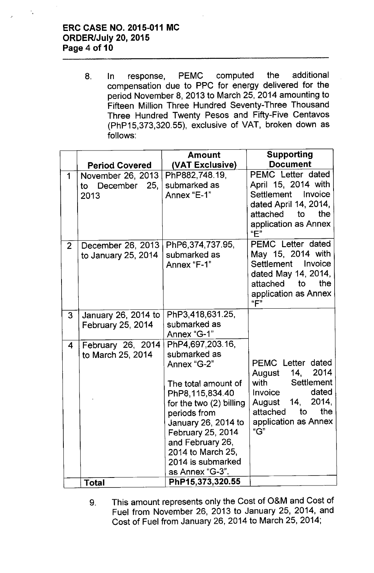# **ERC CASE NO. 2015-011 MC ORDER/July 20,2015 Page 4 of 10**

8. In response, PEMC computed the additional compensation due to PPC for energy delivered for the period November 8,2013 to March 25, 2014 amounting to Fifteen Million Three Hundred Seventy-Three Thousand Three Hundred Twenty Pesos and Fifty-Five Centavos (PhP15,373,320.55), exclusive of VAT, broken down as follows:

|                | <b>Period Covered</b>                        | Amount<br>(VAT Exclusive)                                                                                                                                                                                                                                             | <b>Supporting</b><br><b>Document</b>                                                                                                                              |
|----------------|----------------------------------------------|-----------------------------------------------------------------------------------------------------------------------------------------------------------------------------------------------------------------------------------------------------------------------|-------------------------------------------------------------------------------------------------------------------------------------------------------------------|
| 1              | November 26, 2013<br>to December 25,<br>2013 | PhP882,748.19,<br>submarked as<br>Annex "E-1"                                                                                                                                                                                                                         | PEMC Letter dated<br>April 15, 2014 with<br>Settlement Invoice<br>dated April 14, 2014,<br>attached to<br>the<br>application as Annex<br>"E"                      |
| $\overline{2}$ | December 26, 2013<br>to January 25, 2014     | PhP6,374,737.95,<br>submarked as<br>Annex "F-1"                                                                                                                                                                                                                       | PEMC Letter dated<br>May 15, 2014 with<br>Settlement<br>Invoice<br>dated May 14, 2014,<br>attached to<br>the<br>application as Annex<br>"F"                       |
| 3              | January 26, 2014 to<br>February 25, 2014     | PhP3,418,631.25,<br>submarked as<br>Annex "G-1"                                                                                                                                                                                                                       |                                                                                                                                                                   |
| 4              | February 26, 2014<br>to March 25, 2014       | PhP4,697,203.16,<br>submarked as<br>Annex "G-2"<br>The total amount of<br>PhP8, 115, 834.40<br>for the two $(2)$ billing<br>periods from<br>January 26, 2014 to<br>February 25, 2014<br>and February 26,<br>2014 to March 25,<br>2014 is submarked<br>as Annex "G-3". | <b>PEMC</b> Letter dated<br>August 14, 2014<br>with Settlement<br>dated<br>Invoice<br>14, 2014,<br>August<br>attached<br>to<br>the<br>application as Annex<br>"G" |
|                | <b>Total</b>                                 | PhP15,373,320.55                                                                                                                                                                                                                                                      |                                                                                                                                                                   |

9. This amount represents only the Cost of O&M and Cost of Fuel from November 26, 2013 to January 25, 2014, and Cost of Fuel from January 26, 2014 to March 25, 2014;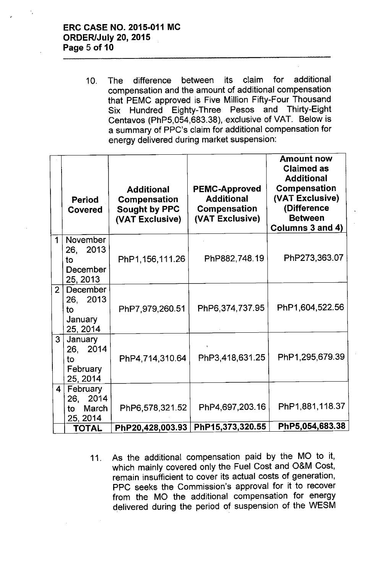10. The difference between its claim for additional compensation and the amount of additional compensation that PEMC approved is Five Million Fifty-Four Thousand Six Hundred Eighty-Three Pesos and Thirty-Eight Centavos (PhP5,054,683.38), exclusive of VAT. Below is a summary of PPC's claim for additional compensation for energy delivered during market suspension:

|                         | <b>Period</b><br><b>Covered</b>                          | <b>Additional</b><br>Compensation<br><b>Sought by PPC</b><br>(VAT Exclusive) | <b>PEMC-Approved</b><br><b>Additional</b><br>Compensation<br>(VAT Exclusive) | <b>Amount now</b><br><b>Claimed as</b><br><b>Additional</b><br>Compensation<br>(VAT Exclusive)<br>(Difference<br><b>Between</b><br>Columns 3 and 4) |
|-------------------------|----------------------------------------------------------|------------------------------------------------------------------------------|------------------------------------------------------------------------------|-----------------------------------------------------------------------------------------------------------------------------------------------------|
| 1                       | November<br>26, 2013<br>to<br>December<br>25, 2013       | PhP1, 156, 111.26                                                            | PhP882,748.19                                                                | PhP273,363.07                                                                                                                                       |
| $\overline{2}$          | December<br>26, 2013<br>to<br><b>January</b><br>25, 2014 | PhP7,979,260.51                                                              | PhP6,374,737.95                                                              | PhP1,604,522.56                                                                                                                                     |
| 3 <sup>1</sup>          | January<br>26, 2014<br>to<br>February<br>25, 2014        | PhP4,714,310.64                                                              | PhP3,418,631.25                                                              | PhP1,295,679.39                                                                                                                                     |
| $\overline{\mathbf{4}}$ | February<br>26, 2014<br>March<br>to:<br>25, 2014         | PhP6,578,321.52                                                              | PhP4,697,203.16                                                              | PhP1,881,118.37                                                                                                                                     |
|                         | <b>TOTAL</b>                                             | PhP20,428,003.93                                                             | PhP15,373,320.55                                                             | PhP5,054,683.38                                                                                                                                     |

11. As the additional compensation paid by the MO to it, which mainly covered only the Fuel Cost and O&M Cost, remain insufficient to cover its actual costs of generation, PPC seeks the Commission's approval for it to recover from the MO the additional compensation for energy delivered during the period of suspension of the WESM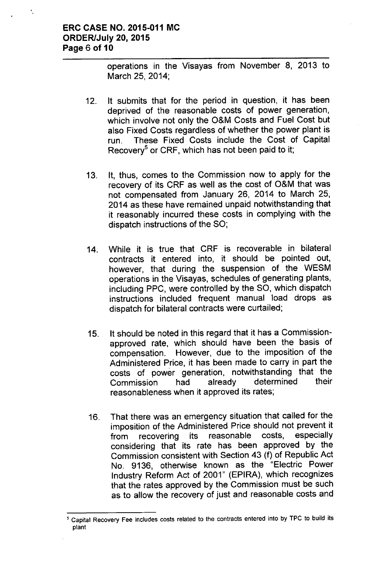operations in the Visayas from November 8, 2013 to March 25, 2014;

- 12. It submits that for the period in question, it has been deprived of the reasonable costs of power generation, which involve not only the O&M Costs and Fuel Cost but also Fixed Costs regardless of whether the power plant is run. These Fixed Costs include the Cost of Capital Recovery<sup>5</sup> or CRF, which has not been paid to it;
- 13. It, thus, comes to the Commission now to apply for the recovery of its CRF as well as the cost of O&M that was not compensated from January 26, 2014 to March 25, 2014 as these have remained unpaid notwithstanding that it reasonably incurred these costs in complying with the dispatch instructions of the SO;
- 14. While it is true that CRF is recoverable in bilateral contracts it entered into, it should be pointed out, however, that during the suspension of the WESM operations in the Visayas, schedules of generating plants, including PPC, were controlled by the SO, which dispatch instructions included frequent manual load drops as dispatch for bilateral contracts were curtailed;
- 15. It should be noted in this regard that it has a Commissionapproved rate, which should have been the basis of compensation. However, due to the imposition of the Administered Price, it has been made to carry in part the costs of power generation, notwithstanding that the Commission had already determined their reasonableness when it approved its rates;
- 16. That there was an emergency situation that called for the imposition of the Administered Price should not prevent it from recovering its reasonable costs, especially considering that its rate has been approved by the Commission consistent with Section 43 (f) of Republic Act No. 9136, otherwise known as the "Electric Power Industry Reform Act of 2001" (EPIRA), which recognizes that the rates approved by the Commission must be such as to allow the recovery of just and reasonable costs and

<sup>,</sup> Capital Recovery Fee includes costs related to the contracts entered into by TPC to build its plant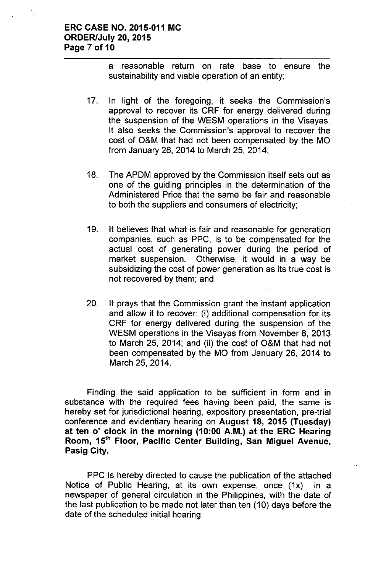a reasonable return on rate base to ensure the sustainability and viable operation of an entity;

- 17. In light of the foregoing, it seeks the Commission's approval to recover its CRF for energy delivered during the suspension of the WESM operations in the Visayas. It also seeks the Commission's approval to recover the cost of O&M that had not been compensated by the MO from January 26, 2014 to March 25, 2014;
- 18. The APDM approved by the Commission itself sets out as one of the guiding principles in the determination of the Administered Price that the same be fair and reasonable to both the suppliers and consumers of electricity;
- 19. It believes that what is fair and reasonable for generation companies, such as PPC, is to be compensated for the actual cost of generating power during the period of market suspension. Otherwise, it would in a way be subsidizing the cost of power generation as its true cost is not recovered by them; and
- 20. It prays that the Commission grant the instant application and allow it to recover: (i) additional compensation for its CRF for energy delivered during the suspension of the WESM operations in the Visayas from November 8, 2013 to March 25, 2014; and (ii) the cost of O&M that had not been compensated by the MO from January 26, 2014 to March 25, 2014.

Finding the said application to be sufficient in form and in substance with the required fees having been paid, the same is hereby set for jurisdictional hearing, expository presentation, pre-trial conference and evidentiary hearing on August 18, 2015 (Tuesday) at ten 0' clock in the morning (10:00 A.M.) at the ERC Hearing Room, 15<sup>th</sup> Floor, Pacific Center Building, San Miguel Avenue, Pasig City.

PPC is hereby directed to cause the publication of the attached Notice of Public Hearing, at its own expense, once (1x) in a newspaper of general circulation in the Philippines, with the date of the last publication to be made not later than ten (10) days before the date of the scheduled initial hearing.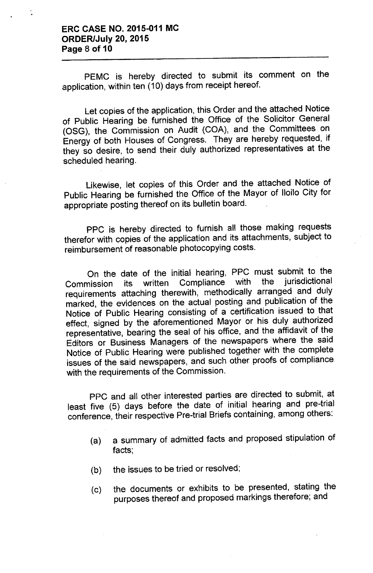PEMC is hereby directed to submit its comment on the application, within ten (10) days from receipt hereof.

Let copies of the application, this Order and the attached Notice of Public Hearing be furnished the Office of the Solicitor General (OSG), the Commission on Audit (COA), and the Committees on Energy of both Houses of Congress. They are hereby requested, if they so desire, to send their duly authorized representatives at the scheduled hearing.

Likewise, let copies of this Order and the attached Notice of Public Hearing be furnished the Office of the Mayor of Iloilo City for appropriate posting thereof on its bulletin board.

PPC is hereby directed to furnish all those making requests therefor with copies of the application and its attachments, subject to reimbursement of reasonable photocopying costs.

On the date of the initial hearing, PPC must submit to the<br>pission, its. written. Compliance, with, the jurisdictional Commission its written Compliance with the requirements attaching therewith, methodically arranged and duly marked, the evidences on the actual posting and publication of the Notice of Public Hearing consisting of a certification issued to that effect, signed by the aforementioned Mayor or his duly authorized representative, bearing the seal of his office, and the affidavit of the Editors or Business Managers of the newspapers where the said Notice of Public Hearing were published together with the complete issues of the said newspapers, and such other proofs of compliance with the requirements of the Commission.

PPC and all other interested parties are directed to submit, at least five (5) days before the date of initial hearing and pre-trial conference, their respective Pre-trial Briefs containing, among others:

- (a) a summary of admitted facts and proposed stipulation of facts;
- (b) the issues to be tried or resolved;
- (c) the documents or exhibits to be presented, stating the purposes thereof and proposed markings therefore; and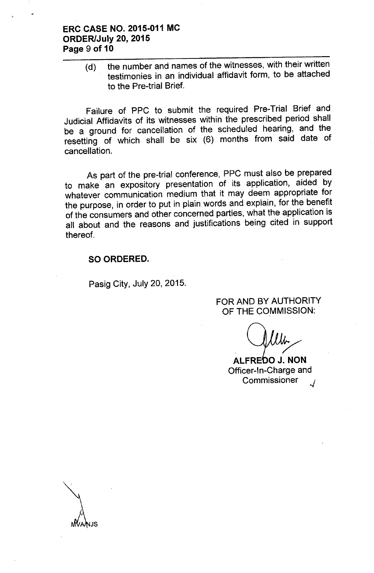## **ERC CASE NO. 2015-011 MC ORDER/July 20, 2015 Page 9 of 10**

(d) the number and names of the witnesses, with their written testimonies in an individual affidavit form, to be attached to the Pre-trial Brief.

Failure of PPC to submit the required Pre-Trial Brief and Judicial Affidavits of its witnesses within the prescribed period shall be a ground for cancellation of the scheduled hearing, and the resetting of which shall be six (6) months from said date of cancellation.

As part of the pre-trial conference, PPC must also be prepared to make an expository presentation of its application, aided by whatever communication medium that it may deem appropriate for the purpose, in order to put in plain words and explain, for the benefit of the consumers and other concerned parties, what the application is all about and the reasons and justifications being cited in support thereof.

#### **SO ORDERED.**

Pasig City, July 20, 2015.

FOR AND BY AUTHORITY OF THE COMMISSION:

/'

**ALFRE 0 J. NON** Officer-In-Charge and **Commissioner**